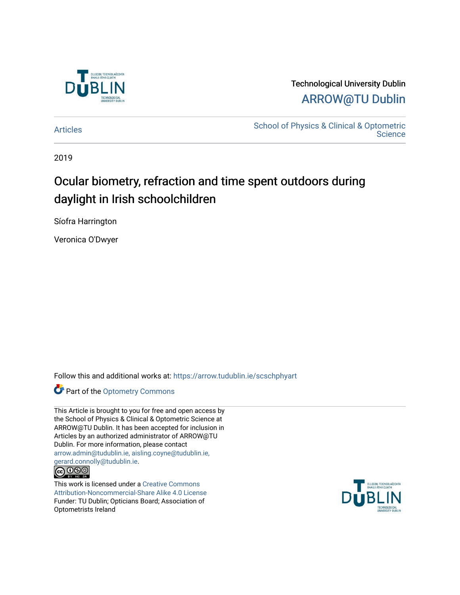

# Technological University Dublin [ARROW@TU Dublin](https://arrow.tudublin.ie/)

[Articles](https://arrow.tudublin.ie/scschphyart) [School of Physics & Clinical & Optometric](https://arrow.tudublin.ie/scschphy)  **Science** 

2019

# Ocular biometry, refraction and time spent outdoors during daylight in Irish schoolchildren

Síofra Harrington

Veronica O'Dwyer

Follow this and additional works at: [https://arrow.tudublin.ie/scschphyart](https://arrow.tudublin.ie/scschphyart?utm_source=arrow.tudublin.ie%2Fscschphyart%2F142&utm_medium=PDF&utm_campaign=PDFCoverPages)

Part of the [Optometry Commons](http://network.bepress.com/hgg/discipline/730?utm_source=arrow.tudublin.ie%2Fscschphyart%2F142&utm_medium=PDF&utm_campaign=PDFCoverPages) 

This Article is brought to you for free and open access by the School of Physics & Clinical & Optometric Science at ARROW@TU Dublin. It has been accepted for inclusion in Articles by an authorized administrator of ARROW@TU Dublin. For more information, please contact [arrow.admin@tudublin.ie, aisling.coyne@tudublin.ie,](mailto:arrow.admin@tudublin.ie,%20aisling.coyne@tudublin.ie,%20gerard.connolly@tudublin.ie)  [gerard.connolly@tudublin.ie](mailto:arrow.admin@tudublin.ie,%20aisling.coyne@tudublin.ie,%20gerard.connolly@tudublin.ie).



This work is licensed under a [Creative Commons](http://creativecommons.org/licenses/by-nc-sa/4.0/) [Attribution-Noncommercial-Share Alike 4.0 License](http://creativecommons.org/licenses/by-nc-sa/4.0/) Funder: TU Dublin; Opticians Board; Association of Optometrists Ireland

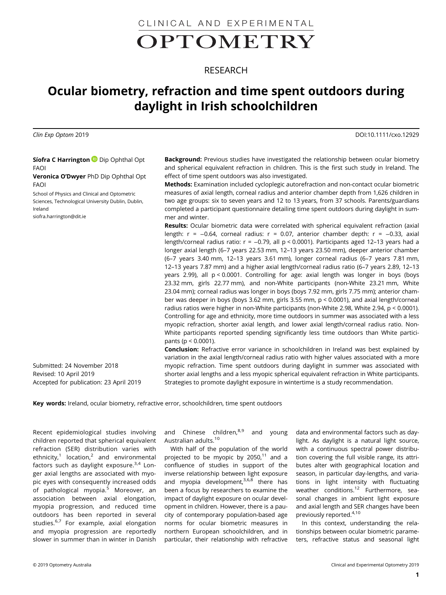# CLINICAL AND EXPERIMENTALOPTOMETRY

# RESEARCH

# Ocular biometry, refraction and time spent outdoors during daylight in Irish schoolchildren

Clin Exp Optom 2019 DOI:10.1111/cxo.12929

Síofra C Harrington D Dip Ophthal Opt FAOI

Veronica O'Dwyer PhD Dip Ophthal Opt FAOI

School of Physics and Clinical and Optometric Sciences, Technological University Dublin, Dublin, Ireland

[siofra.harrington@dit.ie](mailto:siofra.harrington@dit.ie)

**Background:** Previous studies have investigated the relationship between ocular biometry and spherical equivalent refraction in children. This is the first such study in Ireland. The effect of time spent outdoors was also investigated.

Methods: Examination included cycloplegic autorefraction and non-contact ocular biometric measures of axial length, corneal radius and anterior chamber depth from 1,626 children in two age groups: six to seven years and 12 to 13 years, from 37 schools. Parents/guardians completed a participant questionnaire detailing time spent outdoors during daylight in summer and winter.

**Results:** Ocular biometric data were correlated with spherical equivalent refraction (axial length:  $r = -0.64$ , corneal radius:  $r = 0.07$ , anterior chamber depth:  $r = -0.33$ , axial length/corneal radius ratio: r = −0.79, all p < 0.0001). Participants aged 12–13 years had a longer axial length (6–7 years 22.53 mm, 12–13 years 23.50 mm), deeper anterior chamber (6–7 years 3.40 mm, 12–13 years 3.61 mm), longer corneal radius (6–7 years 7.81 mm, 12–13 years 7.87 mm) and a higher axial length/corneal radius ratio (6–7 years 2.89, 12–13 years 2.99), all p < 0.0001. Controlling for age: axial length was longer in boys (boys 23.32 mm, girls 22.77 mm), and non-White participants (non-White 23.21 mm, White 23.04 mm); corneal radius was longer in boys (boys 7.92 mm, girls 7.75 mm); anterior chamber was deeper in boys (boys 3.62 mm, girls 3.55 mm, p < 0.0001), and axial length/corneal radius ratios were higher in non-White participants (non-White 2.98, White 2.94, p < 0.0001). Controlling for age and ethnicity, more time outdoors in summer was associated with a less myopic refraction, shorter axial length, and lower axial length/corneal radius ratio. Non-White participants reported spending significantly less time outdoors than White participants (p < 0.0001).

Conclusion: Refractive error variance in schoolchildren in Ireland was best explained by variation in the axial length/corneal radius ratio with higher values associated with a more myopic refraction. Time spent outdoors during daylight in summer was associated with shorter axial lengths and a less myopic spherical equivalent refraction in White participants. Strategies to promote daylight exposure in wintertime is a study recommendation.

Key words: Ireland, ocular biometry, refractive error, schoolchildren, time spent outdoors

Recent epidemiological studies involving children reported that spherical equivalent refraction (SER) distribution varies with ethnicity, $1$  location, $2$  and environmental factors such as daylight exposure.<sup>3,4</sup> Longer axial lengths are associated with myopic eyes with consequently increased odds of pathological myopia.<sup>5</sup> Moreover, an association between axial elongation, myopia progression, and reduced time outdoors has been reported in several studies.<sup>6,7</sup> For example, axial elongation and myopia progression are reportedly slower in summer than in winter in Danish

Submitted: 24 November 2018

Accepted for publication: 23 April 2019

Revised: 10 April 2019

and Chinese children,<sup>8,9</sup> and young Australian adults.<sup>10</sup>

With half of the population of the world projected to be myopic by  $2050$ ,<sup>11</sup> and a confluence of studies in support of the inverse relationship between light exposure and myopia development,  $3,6,8$  there has been a focus by researchers to examine the impact of daylight exposure on ocular development in children. However, there is a paucity of contemporary population-based age norms for ocular biometric measures in northern European schoolchildren, and in particular, their relationship with refractive

data and environmental factors such as daylight. As daylight is a natural light source, with a continuous spectral power distribution covering the full visible range, its attributes alter with geographical location and season, in particular day-lengths, and variations in light intensity with fluctuating weather conditions.<sup>12</sup> Furthermore, seasonal changes in ambient light exposure and axial length and SER changes have been previously reported.<sup>4,10</sup>

In this context, understanding the relationships between ocular biometric parameters, refractive status and seasonal light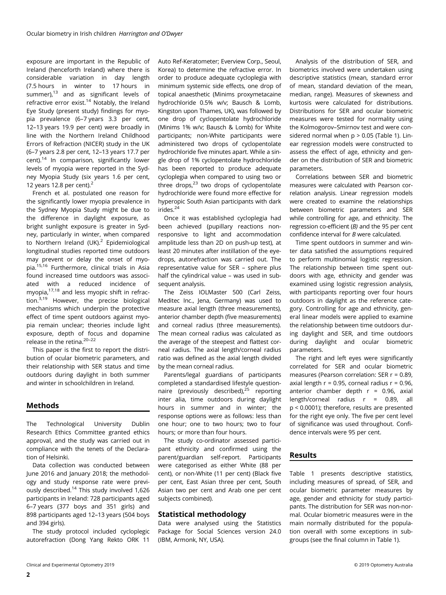exposure are important in the Republic of Ireland (henceforth Ireland) where there is considerable variation in day length (7.5 hours in winter to 17 hours in summer), $13$  and as significant levels of refractive error exist.<sup>14</sup> Notably, the Ireland Eye Study (present study) findings for myopia prevalence (6–7 years 3.3 per cent, 12–13 years 19.9 per cent) were broadly in line with the Northern Ireland Childhood Errors of Refraction (NICER) study in the UK (6–7 years 2.8 per cent, 12–13 years 17.7 per cent).14 In comparison, significantly lower levels of myopia were reported in the Sydney Myopia Study (six years 1.6 per cent, 12 years 12.8 per cent). $<sup>2</sup>$ </sup>

French et al. postulated one reason for the significantly lower myopia prevalence in the Sydney Myopia Study might be due to the difference in daylight exposure, as bright sunlight exposure is greater in Sydney, particularly in winter, when compared to Northern Ireland (UK). $2$  Epidemiological longitudinal studies reported time outdoors may prevent or delay the onset of myopia.15,16 Furthermore, clinical trials in Asia found increased time outdoors was associated with a reduced incidence of myopia,17,18 and less myopic shift in refraction.3,19 However, the precise biological mechanisms which underpin the protective effect of time spent outdoors against myopia remain unclear; theories include light exposure, depth of focus and dopamine release in the retina.20–<sup>22</sup>

This paper is the first to report the distribution of ocular biometric parameters, and their relationship with SER status and time outdoors during daylight in both summer and winter in schoolchildren in Ireland.

# Methods

The Technological University Dublin Research Ethics Committee granted ethics approval, and the study was carried out in compliance with the tenets of the Declaration of Helsinki.

Data collection was conducted between June 2016 and January 2018; the methodology and study response rate were previously described.<sup>14</sup> This study involved 1,626 participants in Ireland: 728 participants aged 6–7 years (377 boys and 351 girls) and 898 participants aged 12–13 years (504 boys and 394 girls).

The study protocol included cycloplegic autorefraction (Dong Yang Rekto ORK 11

Auto Ref-Keratometer; Everview Corp., Seoul, Korea) to determine the refractive error. In order to produce adequate cycloplegia with minimum systemic side effects, one drop of topical anaesthetic (Minims proxymetacaine hydrochloride 0.5% w/v; Bausch & Lomb, Kingston upon Thames, UK), was followed by one drop of cyclopentolate hydrochloride (Minims 1% w/v; Bausch & Lomb) for White participants; non-White participants were administered two drops of cyclopentolate hydrochloride five minutes apart. While a single drop of 1% cyclopentolate hydrochloride has been reported to produce adequate cycloplegia when compared to using two or three drops, $23$  two drops of cyclopentolate hydrochloride were found more effective for hyperopic South Asian participants with dark irides.<sup>24</sup>

Once it was established cycloplegia had been achieved (pupillary reactions nonresponsive to light and accommodation amplitude less than 2D on push-up test), at least 20 minutes after instillation of the eyedrops, autorefraction was carried out. The representative value for SER – sphere plus half the cylindrical value – was used in subsequent analysis.

The Zeiss IOLMaster 500 (Carl Zeiss, Meditec Inc., Jena, Germany) was used to measure axial length (three measurements), anterior chamber depth (five measurements) and corneal radius (three measurements). The mean corneal radius was calculated as the average of the steepest and flattest corneal radius. The axial length/corneal radius ratio was defined as the axial length divided by the mean corneal radius.

Parents/legal guardians of participants completed a standardised lifestyle questionnaire (previously described),<sup>25</sup> reporting inter alia, time outdoors during daylight hours in summer and in winter; the response options were as follows: less than one hour; one to two hours; two to four hours; or more than four hours.

The study co-ordinator assessed participant ethnicity and confirmed using the parent/guardian self-report. Participants were categorised as either White (88 per cent), or non-White (11 per cent) (Black five per cent, East Asian three per cent, South Asian two per cent and Arab one per cent subjects combined).

# Statistical methodology

Data were analysed using the Statistics Package for Social Sciences version 24.0 (IBM, Armonk, NY, USA).

Analysis of the distribution of SER, and biometrics involved were undertaken using descriptive statistics (mean, standard error of mean, standard deviation of the mean, median, range). Measures of skewness and kurtosis were calculated for distributions. Distributions for SER and ocular biometric measures were tested for normality using the Kolmogorov–Smirnov test and were considered normal when  $p > 0.05$  (Table 1). Linear regression models were constructed to assess the effect of age, ethnicity and gender on the distribution of SER and biometric parameters.

Correlations between SER and biometric measures were calculated with Pearson correlation analysis. Linear regression models were created to examine the relationships between biometric parameters and SER while controlling for age, and ethnicity. The regression co-efficient (B) and the 95 per cent confidence interval for B were calculated.

Time spent outdoors in summer and winter data satisfied the assumptions required to perform multinomial logistic regression. The relationship between time spent outdoors with age, ethnicity and gender was examined using logistic regression analysis, with participants reporting over four hours outdoors in daylight as the reference category. Controlling for age and ethnicity, general linear models were applied to examine the relationship between time outdoors during daylight and SER, and time outdoors during daylight and ocular biometric parameters.

The right and left eyes were significantly correlated for SER and ocular biometric measures (Pearson correlation: SER r = 0.89, axial length  $r = 0.95$ , corneal radius  $r = 0.96$ , anterior chamber depth  $r = 0.96$ , axial length/corneal radius r = 0.89, all p < 0.0001); therefore, results are presented for the right eye only. The five per cent level of significance was used throughout. Confidence intervals were 95 per cent.

### Results

Table 1 presents descriptive statistics, including measures of spread, of SER, and ocular biometric parameter measures by age, gender and ethnicity for study participants. The distribution for SER was non-normal. Ocular biometric measures were in the main normally distributed for the population overall with some exceptions in subgroups (see the final column in Table 1).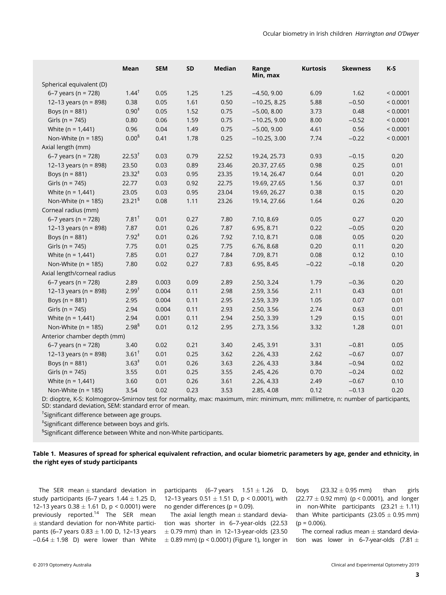|                             | Mean                 | <b>SEM</b> | SD   | <b>Median</b> | Range<br>Min, max | <b>Kurtosis</b> | <b>Skewness</b> | $K-S$    |
|-----------------------------|----------------------|------------|------|---------------|-------------------|-----------------|-----------------|----------|
| Spherical equivalent (D)    |                      |            |      |               |                   |                 |                 |          |
| 6-7 years ( $n = 728$ )     | $1.44^{\dagger}$     | 0.05       | 1.25 | 1.25          | $-4.50, 9.00$     | 6.09            | 1.62            | < 0.0001 |
| 12-13 years (n = 898)       | 0.38                 | 0.05       | 1.61 | 0.50          | $-10.25, 8.25$    | 5.88            | $-0.50$         | < 0.0001 |
| Boys ( $n = 881$ )          | $0.90^{*}$           | 0.05       | 1.52 | 0.75          | $-5.00, 8.00$     | 3.73            | 0.48            | < 0.0001 |
| Girls ( $n = 745$ )         | 0.80                 | 0.06       | 1.59 | 0.75          | $-10.25, 9.00$    | 8.00            | $-0.52$         | < 0.0001 |
| White ( $n = 1,441$ )       | 0.96                 | 0.04       | 1.49 | 0.75          | $-5.00, 9.00$     | 4.61            | 0.56            | < 0.0001 |
| Non-White ( $n = 185$ )     | 0.00 <sup>5</sup>    | 0.41       | 1.78 | 0.25          | $-10.25, 3.00$    | 7.74            | $-0.22$         | < 0.0001 |
| Axial length (mm)           |                      |            |      |               |                   |                 |                 |          |
| 6–7 years (n = $728$ )      | $22.53^{\dagger}$    | 0.03       | 0.79 | 22.52         | 19.24, 25.73      | 0.93            | $-0.15$         | 0.20     |
| 12-13 years (n = 898)       | 23.50                | 0.03       | 0.89 | 23.46         | 20.37, 27.65      | 0.98            | 0.25            | 0.01     |
| Boys (n = 881)              | $23.32^*$            | 0.03       | 0.95 | 23.35         | 19.14, 26.47      | 0.64            | 0.01            | 0.20     |
| Girls ( $n = 745$ )         | 22.77                | 0.03       | 0.92 | 22.75         | 19.69, 27.65      | 1.56            | 0.37            | 0.01     |
| White ( $n = 1,441$ )       | 23.05                | 0.03       | 0.95 | 23.04         | 19.69, 26.27      | 0.38            | 0.15            | 0.20     |
| Non-White ( $n = 185$ )     | 23.21 <sup>§</sup>   | 0.08       | 1.11 | 23.26         | 19.14, 27.66      | 1.64            | 0.26            | 0.20     |
| Corneal radius (mm)         |                      |            |      |               |                   |                 |                 |          |
| 6–7 years (n = $728$ )      | $7.81^+$             | 0.01       | 0.27 | 7.80          | 7.10, 8.69        | 0.05            | 0.27            | 0.20     |
| 12-13 years (n = 898)       | 7.87                 | 0.01       | 0.26 | 7.87          | 6.95, 8.71        | 0.22            | $-0.05$         | 0.20     |
| Boys ( $n = 881$ )          | $7.92^*$             | 0.01       | 0.26 | 7.92          | 7.10, 8.71        | 0.08            | 0.05            | 0.20     |
| Girls ( $n = 745$ )         | 7.75                 | 0.01       | 0.25 | 7.75          | 6.76, 8.68        | 0.20            | 0.11            | 0.20     |
| White ( $n = 1,441$ )       | 7.85                 | 0.01       | 0.27 | 7.84          | 7.09, 8.71        | 0.08            | 0.12            | 0.10     |
| Non-White ( $n = 185$ )     | 7.80                 | 0.02       | 0.27 | 7.83          | 6.95, 8.45        | $-0.22$         | $-0.18$         | 0.20     |
| Axial length/corneal radius |                      |            |      |               |                   |                 |                 |          |
| 6-7 years ( $n = 728$ )     | 2.89                 | 0.003      | 0.09 | 2.89          | 2.50, 3.24        | 1.79            | $-0.36$         | 0.20     |
| 12-13 years ( $n = 898$ )   | $2.99^{t}$           | 0.004      | 0.11 | 2.98          | 2.59, 3.56        | 2.11            | 0.43            | 0.01     |
| Boys ( $n = 881$ )          | 2.95                 | 0.004      | 0.11 | 2.95          | 2.59, 3.39        | 1.05            | 0.07            | 0.01     |
| Girls ( $n = 745$ )         | 2.94                 | 0.004      | 0.11 | 2.93          | 2.50, 3.56        | 2.74            | 0.63            | 0.01     |
| White ( $n = 1,441$ )       | 2.94                 | 0.001      | 0.11 | 2.94          | 2.50, 3.39        | 1.29            | 0.15            | 0.01     |
| Non-White ( $n = 185$ )     | $2.98^{\frac{5}{3}}$ | 0.01       | 0.12 | 2.95          | 2.73, 3.56        | 3.32            | 1.28            | 0.01     |
| Anterior chamber depth (mm) |                      |            |      |               |                   |                 |                 |          |
| 6-7 years ( $n = 728$ )     | 3.40                 | 0.02       | 0.21 | 3.40          | 2.45, 3.91        | 3.31            | $-0.81$         | 0.05     |
| 12-13 years (n = 898)       | 3.61 <sup>†</sup>    | 0.01       | 0.25 | 3.62          | 2.26, 4.33        | 2.62            | $-0.67$         | 0.07     |
| Boys ( $n = 881$ )          | $3.63^*$             | 0.01       | 0.26 | 3.63          | 2.26, 4.33        | 3.84            | $-0.94$         | 0.02     |
| Girls ( $n = 745$ )         | 3.55                 | 0.01       | 0.25 | 3.55          | 2.45, 4.26        | 0.70            | $-0.24$         | 0.02     |
| White ( $n = 1,441$ )       | 3.60                 | 0.01       | 0.26 | 3.61          | 2.26, 4.33        | 2.49            | $-0.67$         | 0.10     |
| Non-White ( $n = 185$ )     | 3.54                 | 0.02       | 0.23 | 3.53          | 2.85, 4.08        | 0.12            | $-0.13$         | 0.20     |

D: dioptre, K-S: Kolmogorov–Smirnov test for normality, max: maximum, min: minimum, mm: millimetre, n: number of participants, SD: standard deviation, SEM: standard error of mean.

† Significant difference between age groups.

‡ Significant difference between boys and girls.

 $^{\mathbb{S}}$ Significant difference between White and non-White participants.

### Table 1. Measures of spread for spherical equivalent refraction, and ocular biometric parameters by age, gender and ethnicity, in the right eyes of study participants

The SER mean  $\pm$  standard deviation in study participants (6-7 years  $1.44 \pm 1.25$  D, 12–13 years 0.38  $\pm$  1.61 D, p < 0.0001) were previously reported.<sup>14</sup> The SER mean  $\pm$  standard deviation for non-White participants (6–7 years  $0.83 \pm 1.00$  D, 12–13 years  $-0.64 \pm 1.98$  D) were lower than White

participants (6–7 years  $1.51 \pm 1.26$  D, 12–13 years  $0.51 \pm 1.51$  D, p < 0.0001), with no gender differences ( $p = 0.09$ ).

The axial length mean  $\pm$  standard deviation was shorter in 6–7-year-olds (22.53  $\pm$  0.79 mm) than in 12-13-year-olds (23.50  $\pm$  0.89 mm) (p < 0.0001) (Figure 1), longer in boys  $(23.32 \pm 0.95 \text{ mm})$  than girls  $(22.77 \pm 0.92 \text{ mm})$  (p < 0.0001), and longer in non-White participants  $(23.21 \pm 1.11)$ than White participants  $(23.05 \pm 0.95 \text{ mm})$  $(p = 0.006)$ .

The corneal radius mean  $\pm$  standard deviation was lower in 6–7-year-olds (7.81  $\pm$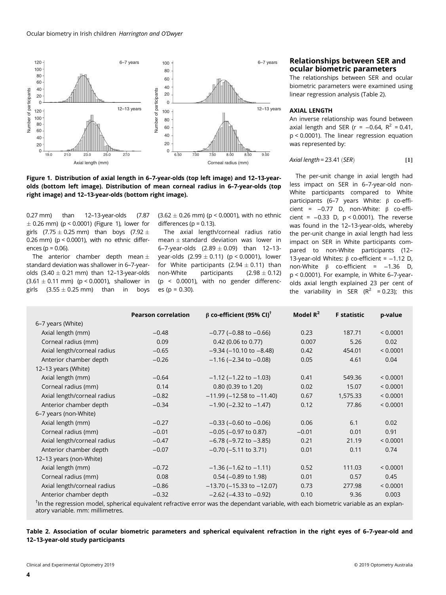

Figure 1. Distribution of axial length in 6–7-year-olds (top left image) and 12–13-yearolds (bottom left image). Distribution of mean corneal radius in 6–7-year-olds (top right image) and 12–13-year-olds (bottom right image).

0.27 mm) than 12–13-year-olds (7.87  $\pm$  0.26 mm) (p < 0.0001) (Figure 1), lower for girls  $(7.75 \pm 0.25 \text{ mm})$  than boys  $(7.92 \pm 0.25 \text{ mm})$ 0.26 mm) (p < 0.0001), with no ethnic differences ( $p = 0.06$ ).

The anterior chamber depth mean  $\pm$ standard deviation was shallower in 6–7-yearolds  $(3.40 \pm 0.21$  mm) than 12-13-year-olds  $(3.61 \pm 0.11 \text{ mm})$  (p < 0.0001), shallower in girls  $(3.55 \pm 0.25 \text{ mm})$  than in boys  $(3.62 \pm 0.26 \text{ mm})$  (p < 0.0001), with no ethnic differences ( $p = 0.13$ ).

The axial length/corneal radius ratio mean  $\pm$  standard deviation was lower in 6-7-year-olds  $(2.89 \pm 0.09)$  than 12-13year-olds  $(2.99 \pm 0.11)$  (p < 0.0001), lower for White participants  $(2.94 \pm 0.11)$  than<br>non-White participants  $(2.98 \pm 0.12)$ participants (p < 0.0001), with no gender differences (p = 0.30).

# Relationships between SER and ocular biometric parameters

The relationships between SER and ocular biometric parameters were examined using linear regression analysis (Table 2).

#### AXIAL LENGTH

An inverse relationship was found between axial length and SER (r =  $-0.64$ , R<sup>2</sup> = 0.41, p < 0.0001). The linear regression equation was represented by:

$$
Axial length = 23.41 (SER)
$$
 [1]

The per-unit change in axial length had less impact on SER in 6–7-year-old non-White participants compared to White participants (6–7 years White: β co-efficient = −0.77 D, non-White: β co-efficient = −0.33 D, p < 0.0001). The reverse was found in the 12–13-year-olds, whereby the per-unit change in axial length had less impact on SER in White participants compared to non-White participants (12– 13-year-old Whites: β co-efficient = −1.12 D, non-White  $β$  co-efficient =  $-1.36$  D, p < 0.0001). For example, in White 6–7-yearolds axial length explained 23 per cent of the variability in SER ( $R^2$  = 0.23); this

|                                                                                                                                      | <b>Pearson correlation</b> | $β$ co-efficient (95% CI) <sup>†</sup> | Model $\mathbb{R}^2$ | <b>F</b> statistic | p-value  |  |  |  |
|--------------------------------------------------------------------------------------------------------------------------------------|----------------------------|----------------------------------------|----------------------|--------------------|----------|--|--|--|
| 6-7 years (White)                                                                                                                    |                            |                                        |                      |                    |          |  |  |  |
| Axial length (mm)                                                                                                                    | $-0.48$                    | $-0.77$ ( $-0.88$ to $-0.66$ )         | 0.23                 | 187.71             | < 0.0001 |  |  |  |
| Corneal radius (mm)                                                                                                                  | 0.09                       | 0.42 (0.06 to 0.77)                    | 0.007                | 5.26               | 0.02     |  |  |  |
| Axial length/corneal radius                                                                                                          | $-0.65$                    | $-9.34$ ( $-10.10$ to $-8.48$ )        | 0.42                 | 454.01             | < 0.0001 |  |  |  |
| Anterior chamber depth                                                                                                               | $-0.26$                    | $-1.16$ ( $-2.34$ to $-0.08$ )         | 0.05                 | 4.61               | 0.04     |  |  |  |
| 12-13 years (White)                                                                                                                  |                            |                                        |                      |                    |          |  |  |  |
| Axial length (mm)                                                                                                                    | $-0.64$                    | $-1.12$ ( $-1.22$ to $-1.03$ )         | 0.41                 | 549.36             | < 0.0001 |  |  |  |
| Corneal radius (mm)                                                                                                                  | 0.14                       | 0.80 (0.39 to 1.20)                    | 0.02                 | 15.07              | < 0.0001 |  |  |  |
| Axial length/corneal radius                                                                                                          | $-0.82$                    | $-11.99$ ( $-12.58$ to $-11.40$ )      | 0.67                 | 1,575.33           | < 0.0001 |  |  |  |
| Anterior chamber depth                                                                                                               | $-0.34$                    | $-1.90$ ( $-2.32$ to $-1.47$ )         | 0.12                 | 77.86              | < 0.0001 |  |  |  |
| 6-7 years (non-White)                                                                                                                |                            |                                        |                      |                    |          |  |  |  |
| Axial length (mm)                                                                                                                    | $-0.27$                    | $-0.33$ ( $-0.60$ to $-0.06$ )         | 0.06                 | 6.1                | 0.02     |  |  |  |
| Corneal radius (mm)                                                                                                                  | $-0.01$                    | $-0.05$ ( $-0.97$ to 0.87)             | $-0.01$              | 0.01               | 0.91     |  |  |  |
| Axial length/corneal radius                                                                                                          | $-0.47$                    | $-6.78$ ( $-9.72$ to $-3.85$ )         | 0.21                 | 21.19              | < 0.0001 |  |  |  |
| Anterior chamber depth                                                                                                               | $-0.07$                    | $-0.70$ ( $-5.11$ to 3.71)             | 0.01                 | 0.11               | 0.74     |  |  |  |
| 12-13 years (non-White)                                                                                                              |                            |                                        |                      |                    |          |  |  |  |
| Axial length (mm)                                                                                                                    | $-0.72$                    | $-1.36$ ( $-1.62$ to $-1.11$ )         | 0.52                 | 111.03             | < 0.0001 |  |  |  |
| Corneal radius (mm)                                                                                                                  | 0.08                       | $0.54$ (-0.89 to 1.98)                 | 0.01                 | 0.57               | 0.45     |  |  |  |
| Axial length/corneal radius                                                                                                          | $-0.86$                    | $-13.70$ ( $-15.33$ to $-12.07$ )      | 0.73                 | 277.98             | < 0.0001 |  |  |  |
| Anterior chamber depth                                                                                                               | $-0.32$                    | $-2.62$ ( $-4.33$ to $-0.92$ )         | 0.10                 | 9.36               | 0.003    |  |  |  |
| The the regression model, enharical equivalent refrective error was the dependent variable with each biometric variable as an evolum |                            |                                        |                      |                    |          |  |  |  |

 $^\dagger$ In the regression model, spherical equivalent refractive error was the dependant variable, with each biometric variable as an explanatory variable. mm: millimetres.

### Table 2. Association of ocular biometric parameters and spherical equivalent refraction in the right eyes of 6–7-year-old and 12–13-year-old study participants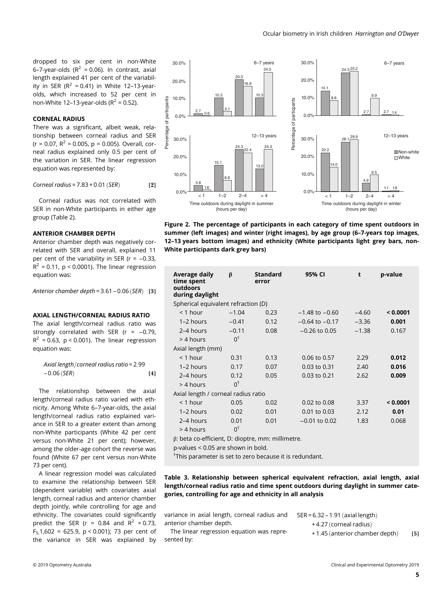dropped to six per cent in non-White 6–7-year-olds  $(R^2 = 0.06)$ . In contrast, axial length explained 41 per cent of the variability in SER ( $R^2$  = 0.41) in White 12-13-yearolds, which increased to 52 per cent in non-White 12-13-year-olds ( $R^2$  = 0.52).

### CORNEAL RADIUS

There was a significant, albeit weak, relationship between corneal radius and SER  $(r = 0.07, R^2 = 0.005, p = 0.005)$ . Overall, corneal radius explained only 0.5 per cent of the variation in SER. The linear regression equation was represented by:

$$
Corneal radius = 7.83 + 0.01 (SER)
$$
 [2]

Corneal radius was not correlated with SER in non-White participants in either age group (Table 2).

#### ANTERIOR CHAMBER DEPTH

Anterior chamber depth was negatively correlated with SER and overall, explained 11 per cent of the variability in SER ( $r = -0.33$ ,  $R^2$  = 0.11, p < 0.0001). The linear regression equation was:

Anterior chamber depth =  $3.61 - 0.06$  (SER) [3]

# AXIAL LENGTH/CORNEAL RADIUS RATIO

The axial length/corneal radius ratio was strongly correlated with SER (r = -0.79,  $R^2$  = 0.63, p < 0.001). The linear regression equation was:

Axial length / corneal radius ratio =  $2.99$  $-0.06$  (*SER*) [4]

The relationship between the axial length/corneal radius ratio varied with ethnicity. Among White 6–7-year-olds, the axial length/corneal radius ratio explained variance in SER to a greater extent than among non-White participants (White 42 per cent versus non-White 21 per cent); however, among the older-age cohort the reverse was found (White 67 per cent versus non-White 73 per cent).

A linear regression model was calculated to examine the relationship between SER (dependent variable) with covariates axial length, corneal radius and anterior chamber depth jointly, while controlling for age and ethnicity. The covariates could significantly predict the SER (r =  $0.84$  and R<sup>2</sup> =  $0.73$ , F<sub>5</sub>,1,602 = 625.9, p < 0.001); 73 per cent of the variance in SER was explained by



Figure 2. The percentage of participants in each category of time spent outdoors in summer (left images) and winter (right images), by age group (6–7-years top images, 12–13 years bottom images) and ethnicity (White participants light grey bars, non-White participants dark grey bars)

| Average daily<br>time spent<br>outdoors<br>during daylight | β             | <b>Standard</b><br>error | 95% CI             | t       | p-value  |  |  |  |  |
|------------------------------------------------------------|---------------|--------------------------|--------------------|---------|----------|--|--|--|--|
| Spherical equivalent refraction (D)                        |               |                          |                    |         |          |  |  |  |  |
| $<$ 1 hour                                                 | $-1.04$       | 0.23                     | $-1.48$ to $-0.60$ | $-4.60$ | < 0.0001 |  |  |  |  |
| 1-2 hours                                                  | $-0.41$       | 0.12                     | $-0.64$ to $-0.17$ | $-3.36$ | 0.001    |  |  |  |  |
| 2-4 hours                                                  | $-0.11$       | 0.08                     | $-0.26$ to 0.05    | $-1.38$ | 0.167    |  |  |  |  |
| $>$ 4 hours                                                | $0^{\dagger}$ |                          |                    |         |          |  |  |  |  |
| Axial length (mm)                                          |               |                          |                    |         |          |  |  |  |  |
| $<$ 1 hour                                                 | 0.31          | 0.13                     | 0.06 to 0.57       | 2.29    | 0.012    |  |  |  |  |
| $1-2$ hours                                                | 0.17          | 0.07                     | $0.03$ to $0.31$   | 2.40    | 0.016    |  |  |  |  |
| 2-4 hours                                                  | 0.12          | 0.05                     | $0.03$ to $0.21$   | 2.62    | 0.009    |  |  |  |  |
| $>$ 4 hours                                                | $0^{\dagger}$ |                          |                    |         |          |  |  |  |  |
| Axial length / corneal radius ratio                        |               |                          |                    |         |          |  |  |  |  |
| $<$ 1 hour                                                 | 0.05          | 0.02                     | 0.02 to 0.08       | 3.37    | < 0.0001 |  |  |  |  |
| 1-2 hours                                                  | 0.02          | 0.01                     | 0.01 to 0.03       | 2.12    | 0.01     |  |  |  |  |
| 2-4 hours                                                  | 0.01          | 0.01                     | $-0.01$ to 0.02    | 1.83    | 0.068    |  |  |  |  |
| > 4 hours                                                  | $0^{\dagger}$ |                          |                    |         |          |  |  |  |  |
| $\beta$ : beta co-efficient, D: dioptre, mm: millimetre.   |               |                          |                    |         |          |  |  |  |  |

p-values < 0.05 are shown in bold.

† This parameter is set to zero because it is redundant.

Table 3. Relationship between spherical equivalent refraction, axial length, axial length/corneal radius ratio and time spent outdoors during daylight in summer categories, controlling for age and ethnicity in all analysis

variance in axial length, corneal radius and anterior chamber depth.

The linear regression equation was represented by:

- $SER = 6.32 1.91$  (axial length) +4.27 (corneal radius)
	- + 1.45 (anterior chamber depth) [5]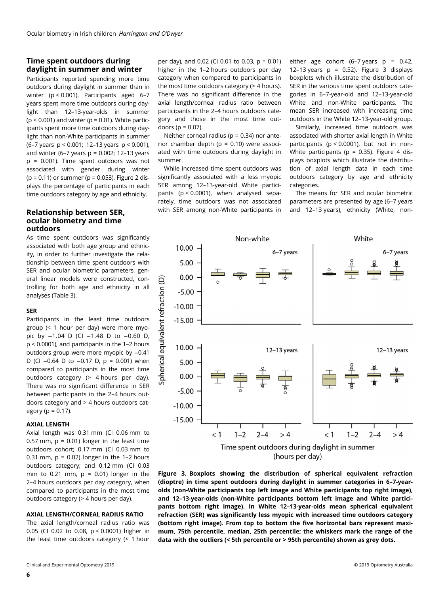# Time spent outdoors during daylight in summer and winter

Participants reported spending more time outdoors during daylight in summer than in winter (p < 0.001). Participants aged 6–7 years spent more time outdoors during daylight than 12–13-year-olds in summer  $(p < 0.001)$  and winter ( $p = 0.01$ ). White participants spent more time outdoors during daylight than non-White participants in summer (6–7 years p < 0.001; 12–13 years p < 0.001), and winter (6–7 years  $p = 0.002$ ; 12–13 years p = 0.001). Time spent outdoors was not associated with gender during winter ( $p = 0.11$ ) or summer ( $p = 0.053$ ). Figure 2 displays the percentage of participants in each time outdoors category by age and ethnicity.

# Relationship between SER, ocular biometry and time outdoors

As time spent outdoors was significantly associated with both age group and ethnicity, in order to further investigate the relationship between time spent outdoors with SER and ocular biometric parameters, general linear models were constructed, controlling for both age and ethnicity in all analyses (Table 3).

# SER

Participants in the least time outdoors group (< 1 hour per day) were more myopic by -1.04 D (CI -1.48 D to -0.60 D, p < 0.0001), and participants in the 1–2 hours outdoors group were more myopic by −0.41 D (CI -0.64 D to -0.17 D, p = 0.001) when compared to participants in the most time outdoors category (> 4 hours per day). There was no significant difference in SER between participants in the 2–4 hours outdoors category and > 4 hours outdoors category ( $p = 0.17$ ).

#### AXIAL LENGTH

Axial length was 0.31 mm (CI 0.06 mm to 0.57 mm,  $p = 0.01$ ) longer in the least time outdoors cohort; 0.17 mm (CI 0.03 mm to 0.31 mm,  $p = 0.02$ ) longer in the 1-2 hours outdoors category; and 0.12 mm (CI 0.03 mm to 0.21 mm,  $p = 0.01$ ) longer in the 2–4 hours outdoors per day category, when compared to participants in the most time outdoors category (> 4 hours per day).

# AXIAL LENGTH/CORNEAL RADIUS RATIO

The axial length/corneal radius ratio was 0.05 (CI 0.02 to 0.08, p < 0.0001) higher in the least time outdoors category (< 1 hour

per day), and 0.02 (CI 0.01 to 0.03, p = 0.01) higher in the 1–2 hours outdoors per day category when compared to participants in the most time outdoors category (> 4 hours). There was no significant difference in the axial length/corneal radius ratio between participants in the 2–4 hours outdoors category and those in the most time outdoors ( $p = 0.07$ ).

Neither corneal radius ( $p = 0.34$ ) nor anterior chamber depth ( $p = 0.10$ ) were associated with time outdoors during daylight in summer.

While increased time spent outdoors was significantly associated with a less myopic SER among 12–13-year-old White participants (p < 0.0001), when analysed separately, time outdoors was not associated with SER among non-White participants in either age cohort  $(6-7 \text{ years } p = 0.42)$ 12–13 years  $p = 0.52$ ). Figure 3 displays boxplots which illustrate the distribution of SER in the various time spent outdoors categories in 6–7-year-old and 12–13-year-old White and non-White participants. The mean SER increased with increasing time outdoors in the White 12–13-year-old group.

Similarly, increased time outdoors was associated with shorter axial length in White participants ( $p < 0.0001$ ), but not in non-White participants ( $p = 0.35$ ). Figure 4 displays boxplots which illustrate the distribution of axial length data in each time outdoors category by age and ethnicity categories.

The means for SER and ocular biometric parameters are presented by age (6–7 years and 12–13 years), ethnicity (White, non-



Figure 3. Boxplots showing the distribution of spherical equivalent refraction (dioptre) in time spent outdoors during daylight in summer categories in 6–7-yearolds (non-White participants top left image and White participants top right image), and 12–13-year-olds (non-White participants bottom left image and White participants bottom right image). In White 12–13-year-olds mean spherical equivalent refraction (SER) was significantly less myopic with increased time outdoors category (bottom right image). From top to bottom the five horizontal bars represent maximum, 75th percentile, median, 25th percentile; the whiskers mark the range of the data with the outliers (< 5th percentile or > 95th percentile) shown as grey dots.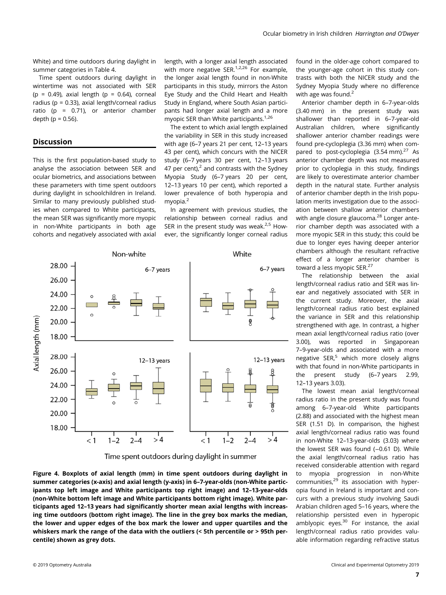White) and time outdoors during daylight in summer categories in Table 4.

Time spent outdoors during daylight in wintertime was not associated with SER (p =  $0.49$ ), axial length (p =  $0.64$ ), corneal radius (p = 0.33), axial length/corneal radius ratio ( $p = 0.71$ ), or anterior chamber depth ( $p = 0.56$ ).

# Discussion

This is the first population-based study to analyse the association between SER and ocular biometrics, and associations between these parameters with time spent outdoors during daylight in schoolchildren in Ireland. Similar to many previously published studies when compared to White participants, the mean SER was significantly more myopic in non-White participants in both age cohorts and negatively associated with axial

length, with a longer axial length associated with more negative SER. $1,2,26$  For example. the longer axial length found in non-White participants in this study, mirrors the Aston Eye Study and the Child Heart and Health Study in England, where South Asian participants had longer axial length and a more myopic SER than White participants. $1,26$ 

The extent to which axial length explained the variability in SER in this study increased with age (6–7 years 21 per cent, 12–13 years 43 per cent), which concurs with the NICER study (6–7 years 30 per cent, 12–13 years 47 per cent), $^2$  and contrasts with the Sydney Myopia Study (6–7 years 20 per cent, 12–13 years 10 per cent), which reported a lower prevalence of both hyperopia and myopia.2

In agreement with previous studies, the relationship between corneal radius and SER in the present study was weak. $2.5$  However, the significantly longer corneal radius



Time spent outdoors during daylight in summer

Figure 4. Boxplots of axial length (mm) in time spent outdoors during daylight in summer categories (x-axis) and axial length (y-axis) in 6–7-year-olds (non-White participants top left image and White participants top right image) and 12–13-year-olds (non-White bottom left image and White participants bottom right image). White participants aged 12–13 years had significantly shorter mean axial lengths with increasing time outdoors (bottom right image). The line in the grey box marks the median, the lower and upper edges of the box mark the lower and upper quartiles and the whiskers mark the range of the data with the outliers (< 5th percentile or > 95th percentile) shown as grey dots.

found in the older-age cohort compared to the younger-age cohort in this study contrasts with both the NICER study and the Sydney Myopia Study where no difference with age was found.<sup>2</sup>

Anterior chamber depth in 6–7-year-olds (3.40 mm) in the present study was shallower than reported in 6–7-year-old Australian children, where significantly shallower anterior chamber readings were found pre-cycloplegia (3.36 mm) when compared to post-cycloplegia  $(3.54 \text{ mm})$ .<sup>27</sup> As anterior chamber depth was not measured prior to cycloplegia in this study, findings are likely to overestimate anterior chamber depth in the natural state. Further analysis of anterior chamber depth in the Irish population merits investigation due to the association between shallow anterior chambers with angle closure glaucoma.<sup>28</sup> Longer anterior chamber depth was associated with a more myopic SER in this study; this could be due to longer eyes having deeper anterior chambers although the resultant refractive effect of a longer anterior chamber is toward a less myopic SER.<sup>27</sup>

The relationship between the axial length/corneal radius ratio and SER was linear and negatively associated with SER in the current study. Moreover, the axial length/corneal radius ratio best explained the variance in SER and this relationship strengthened with age. In contrast, a higher mean axial length/corneal radius ratio (over 3.00), was reported in Singaporean 7–9-year-olds and associated with a more negative SER,<sup>5</sup> which more closely aligns with that found in non-White participants in the present study (6–7 years 2.99, 12–13 years 3.03).

The lowest mean axial length/corneal radius ratio in the present study was found among 6–7-year-old White participants (2.88) and associated with the highest mean SER (1.51 D). In comparison, the highest axial length/corneal radius ratio was found in non-White 12–13-year-olds (3.03) where the lowest SER was found (-0.61 D). While the axial length/corneal radius ratio has received considerable attention with regard to myopia progression in non-White communities, $29$  its association with hyperopia found in Ireland is important and concurs with a previous study involving Saudi Arabian children aged 5–16 years, where the relationship persisted even in hyperopic amblyopic eyes.30 For instance, the axial length/corneal radius ratio provides valuable information regarding refractive status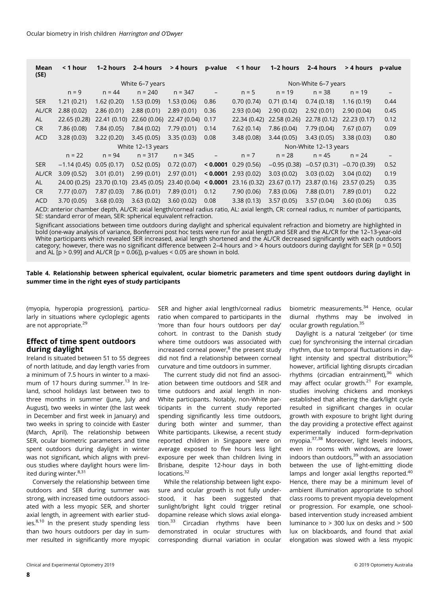| Mean<br>(SE)                                                                                                                                                                                                 | < 1 hour          | 1–2 hours    | 2–4 hours       | > 4 hours            | p-value             | < 1 hour                  | 1-2 hours             | 2-4 hours     | > 4 hours     | p-value |  |  |
|--------------------------------------------------------------------------------------------------------------------------------------------------------------------------------------------------------------|-------------------|--------------|-----------------|----------------------|---------------------|---------------------------|-----------------------|---------------|---------------|---------|--|--|
|                                                                                                                                                                                                              |                   |              | White 6-7 years |                      | Non-White 6-7 years |                           |                       |               |               |         |  |  |
|                                                                                                                                                                                                              | $n = 9$           | $n = 44$     | $n = 240$       | $n = 347$            |                     | $n = 5$                   | $n = 19$              | $n = 38$      | $n = 19$      |         |  |  |
| <b>SER</b>                                                                                                                                                                                                   | 1.21(0.21)        | 1.62(0.20)   | 1.53(0.09)      | 1.53(0.06)           | 0.86                | 0.70(0.74)                | 0.71(0.14)            | 0.74(0.18)    | 1.16(0.19)    | 0.44    |  |  |
| AL/CR                                                                                                                                                                                                        | 2.88(0.02)        | 2.86(0.01)   | 2.88(0.01)      | 2.89(0.01)           | 0.36                | 2.93(0.04)                | 2.90(0.02)            | 2.92(0.01)    | 2.90(0.04)    | 0.45    |  |  |
| <b>AL</b>                                                                                                                                                                                                    | 22.65 (0.28)      | 22.41 (0.10) | 22.60 (0.06)    | 22.47 (0.04)         | 0.17                | 22.34 (0.42)              | 22.58 (0.26)          | 22.78 (0.12)  | 22.23(0.17)   | 0.12    |  |  |
| <b>CR</b>                                                                                                                                                                                                    | 7.86 (0.08)       | 7.84(0.05)   | 7.84(0.02)      | 7.79(0.01)           | 0.14                | 7.62(0.14)                | 7.86 (0.04)           | 7.79(0.04)    | 7.67(0.07)    | 0.09    |  |  |
| <b>ACD</b>                                                                                                                                                                                                   | 3.28(0.03)        | 3.22(0.20)   | 3.45(0.05)      | 3.35(0.03)           | 0.08                | 3.48(0.08)                | 3.44(0.05)            | 3.43(0.05)    | 3.38(0.03)    | 0.80    |  |  |
|                                                                                                                                                                                                              | White 12-13 years |              |                 |                      |                     |                           | Non-White 12-13 years |               |               |         |  |  |
|                                                                                                                                                                                                              | $n = 22$          | $n = 94$     | $n = 317$       | $n = 345$            |                     | $n = 7$                   | $n = 28$              | $n = 45$      | $n = 24$      |         |  |  |
| <b>SER</b>                                                                                                                                                                                                   | $-1.14(0.45)$     | 0.05(0.17)   | 0.52(0.05)      | 0.72(0.07)           |                     | $\leq$ 0.0001 0.29 (0.56) | $-0.95(0.38)$         | $-0.57(0.31)$ | $-0.70(0.39)$ | 0.52    |  |  |
| AL/CR                                                                                                                                                                                                        | 3.09(0.52)        | 3.01(0.01)   | 2.99(0.01)      | 2.97(0.01)           |                     | $< 0.0001$ 2.93 (0.02)    | 3.03(0.02)            | 3.03(0.02)    | 3.04(0.02)    | 0.19    |  |  |
| AL                                                                                                                                                                                                           | 24.00 (0.25)      | 23.70 (0.10) | 23.45 (0.05)    | 23.40(0.04) < 0.0001 |                     | 23.16 (0.32)              | 23.67 (0.17)          | 23.87 (0.16)  | 23.57 (0.25)  | 0.35    |  |  |
| CR                                                                                                                                                                                                           | 7.77(0.07)        | 7.87(0.03)   | 7.86(0.01)      | 7.89(0.01)           | 0.12                | 7.90(0.06)                | 7.83(0.06)            | 7.88(0.01)    | 7.89(0.01)    | 0.22    |  |  |
| <b>ACD</b>                                                                                                                                                                                                   | 3.70(0.05)        | 3.68(0.03)   | 3.63(0.02)      | 3.60(0.02)           | 0.08                | 3.38(0.13)                | 3.57(0.05)            | 3.57(0.04)    | 3.60(0.06)    | 0.35    |  |  |
| ACD: anterior chamber depth, AL/CR: axial length/corneal radius ratio, AL: axial length, CR: corneal radius, n: number of participants,<br>SE: standard error of mean, SER: spherical equivalent refraction. |                   |              |                 |                      |                     |                           |                       |               |               |         |  |  |
| Circuificant accordations between time outdoors during daulight and spherical equivalent refraction and biometry are bighlighted in                                                                          |                   |              |                 |                      |                     |                           |                       |               |               |         |  |  |

Significant associations between time outdoors during daylight and spherical equivalent refraction and biometry are highlighted in bold (one-way analysis of variance, Bonferroni post hoc tests were run for axial length and SER and the AL/CR for the 12–13-year-old White participants which revealed SER increased, axial length shortened and the AL/CR decreased significantly with each outdoors category; however, there was no significant difference between 2–4 hours and > 4 hours outdoors during daylight for SER [p = 0.50] and  $AL [p > 0.99]$  and  $AL/CR [p = 0.06]$ ), p-values < 0.05 are shown in bold.

Table 4. Relationship between spherical equivalent, ocular biometric parameters and time spent outdoors during daylight in summer time in the right eyes of study participants

(myopia, hyperopia progression), particularly in situations where cycloplegic agents are not appropriate.<sup>29</sup>

# Effect of time spent outdoors during daylight

Ireland is situated between 51 to 55 degrees of north latitude, and day length varies from a minimum of 7.5 hours in winter to a maximum of 17 hours during summer.<sup>13</sup> In Ireland, school holidays last between two to three months in summer (June, July and August), two weeks in winter (the last week in December and first week in January) and two weeks in spring to coincide with Easter (March, April). The relationship between SER, ocular biometric parameters and time spent outdoors during daylight in winter was not significant, which aligns with previous studies where daylight hours were limited during winter.<sup>8,31</sup>

Conversely the relationship between time outdoors and SER during summer was strong, with increased time outdoors associated with a less myopic SER, and shorter axial length, in agreement with earlier studies.<sup>8,10</sup> In the present study spending less than two hours outdoors per day in summer resulted in significantly more myopic

SER and higher axial length/corneal radius ratio when compared to participants in the 'more than four hours outdoors per day' cohort. In contrast to the Danish study where time outdoors was associated with increased corneal power, $8$  the present study did not find a relationship between corneal curvature and time outdoors in summer.

The current study did not find an association between time outdoors and SER and time outdoors and axial length in non-White participants. Notably, non-White participants in the current study reported spending significantly less time outdoors, during both winter and summer, than White participants. Likewise, a recent study reported children in Singapore were on average exposed to five hours less light exposure per week than children living in Brisbane, despite 12-hour days in both locations.<sup>32</sup>

While the relationship between light exposure and ocular growth is not fully understood, it has been suggested that sunlight/bright light could trigger retinal dopamine release which slows axial elongation.33 Circadian rhythms have been demonstrated in ocular structures with corresponding diurnal variation in ocular

biometric measurements.<sup>34</sup> Hence, ocular diurnal rhythms may be involved in ocular growth regulation.<sup>35</sup>

Daylight is a natural 'zeitgeber' (or time cue) for synchronising the internal circadian rhythm, due to temporal fluctuations in daylight intensity and spectral distribution;<sup>36</sup> however, artificial lighting disrupts circadian rhythms (circadian entrainment), $36$  which may affect ocular growth. $21$  For example, studies involving chickens and monkeys established that altering the dark/light cycle resulted in significant changes in ocular growth with exposure to bright light during the day providing a protective effect against experimentally induced form-deprivation myopia.37,38 Moreover, light levels indoors, even in rooms with windows, are lower indoors than outdoors,<sup>39</sup> with an association between the use of light-emitting diode lamps and longer axial lengths reported.<sup>40</sup> Hence, there may be a minimum level of ambient illumination appropriate to school class rooms to prevent myopia development or progression. For example, one schoolbased intervention study increased ambient luminance to > 300 lux on desks and > 500 lux on blackboards, and found that axial elongation was slowed with a less myopic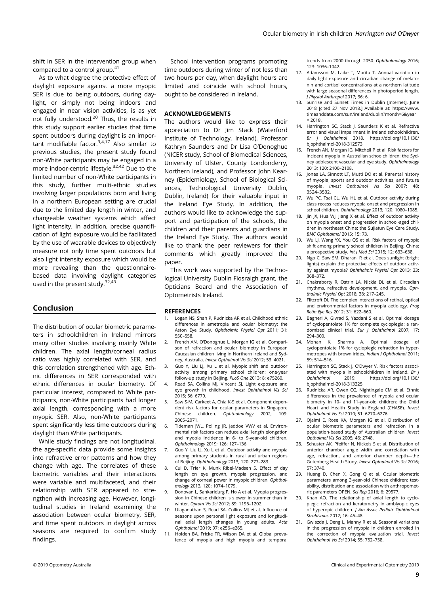shift in SER in the intervention group when compared to a control group.41

As to what degree the protective effect of daylight exposure against a more myopic SER is due to being outdoors, during daylight, or simply not being indoors and engaged in near vision activities, is as yet not fully understood.<sup>20</sup> Thus, the results in this study support earlier studies that time spent outdoors during daylight is an important modifiable factor.3,4,17 Also similar to previous studies, the present study found non-White participants may be engaged in a more indoor-centric lifestyle.<sup>32,42</sup> Due to the limited number of non-White participants in this study, further multi-ethnic studies involving larger populations born and living in a northern European setting are crucial due to the limited day length in winter, and changeable weather systems which affect light intensity. In addition, precise quantification of light exposure would be facilitated by the use of wearable devices to objectively measure not only time spent outdoors but also light intensity exposure which would be more revealing than the questionnairebased data involving daylight categories used in the present study.<sup>32,43</sup>

# Conclusion

The distribution of ocular biometric parameters in schoolchildren in Ireland mirrors many other studies involving mainly White children. The axial length/corneal radius ratio was highly correlated with SER, and this correlation strengthened with age. Ethnic differences in SER corresponded with ethnic differences in ocular biometry. Of particular interest, compared to White participants, non-White participants had longer axial length, corresponding with a more myopic SER. Also, non-White participants spent significantly less time outdoors during daylight than White participants.

While study findings are not longitudinal, the age-specific data provide some insights into refractive error patterns and how they change with age. The correlates of these biometric variables and their interactions were variable and multifaceted, and their relationship with SER appeared to strengthen with increasing age. However, longitudinal studies in Ireland examining the association between ocular biometry, SER, and time spent outdoors in daylight across seasons are required to confirm study findings.

School intervention programs promoting time outdoors during winter of not less than two hours per day, when daylight hours are limited and coincide with school hours, ought to be considered in Ireland.

#### ACKNOWLEDGEMENTS

The authors would like to express their appreciation to Dr Jim Stack (Waterford Institute of Technology, Ireland), Professor Kathryn Saunders and Dr Lisa O'Donoghue (NICER study, School of Biomedical Sciences, University of Ulster, County Londonderry, Northern Ireland), and Professor John Kearney (Epidemiology, School of Biological Sciences, Technological University Dublin, Dublin, Ireland) for their valuable input in the Ireland Eye Study. In addition, the authors would like to acknowledge the support and participation of the schools, the children and their parents and guardians in the Ireland Eye Study. The authors would like to thank the peer reviewers for their comments which greatly improved the paper.

This work was supported by the Technological University Dublin Fiosraigh grant, the Opticians Board and the Association of Optometrists Ireland.

#### **REFERENCES**

- 1. Logan NS, Shah P, Rudnicka AR et al. Childhood ethnic differences in ametropia and ocular biometry: the Aston Eye Study. Ophthalmic Physiol Opt 2011; 31: 550–558.
- 2. French AN, O'Donoghue L, Morgan IG et al. Comparison of refraction and ocular biometry in European Caucasian children living in Northern Ireland and Sydney, Australia. Invest Opthalmol Vis Sci 2012; 53: 4021.
- 3. Guo Y, Liu LJ, Xu L et al. Myopic shift and outdoor activity among primary school children: one-year follow-up study in Beijing. PLoS One 2013; 8: e75260.
- 4. Read SA, Collins MJ, Vincent SJ. Light exposure and eye growth in childhood. Invest Ophthalmol Vis Sci 2015; 56: 6779.
- 5. Saw S-M, Carkeet A, Chia K-S et al. Component dependent risk factors for ocular parameters in Singapore Chinese children. Ophthalmology 2002; 109: 2065–2071.
- 6. Tideman JWL, Polling JR, Jaddoe VWV et al. Environmental risk factors can reduce axial length elongation and myopia incidence in 6- to 9-year-old children. Ophthalmology 2019; 126: 127–136.
- 7. Guo Y, Liu LJ, Xu L et al. Outdoor activity and myopia among primary students in rural and urban regions of Beijing. Ophthalmology 2013; 120: 277–283.
- Cui D, Trier K, Munk Ribel-Madsen S. Effect of day length on eye growth, myopia progression, and change of corneal power in myopic children. Ophthalmology 2013; 120: 1074–1079.
- 9. Donovan L, Sankaridurg P, Ho A et al. Myopia progression in Chinese children is slower in summer than in winter. Optom Vis Sci 2012; 89: 1196–1202.
- 10. Ulaganathan S, Read SA, Collins MJ et al. Influence of seasons upon personal light exposure and longitudinal axial length changes in young adults. Acta Ophthalmol 2019; 97: e256–e265.
- 11. Holden BA, Fricke TR, Wilson DA et al. Global prevalence of myopia and high myopia and temporal

trends from 2000 through 2050. Ophthalmology 2016; 123: 1036–1042.

- 12. Adamsson M, Laike T, Morita T. Annual variation in daily light exposure and circadian change of melatonin and cortisol concentrations at a northern latitude with large seasonal differences in photoperiod length. J Physiol Anthropol 2017; 36: 6.
- 13. Sunrise and Sunset Times in Dublin [Internet]. June 2018 [cited 27 Nov 2018.] Available at: [https://www.](https://www.timeanddate.com/sun/ireland/dublin?month=6&year) [timeanddate.com/sun/ireland/dublin?month=6&year](https://www.timeanddate.com/sun/ireland/dublin?month=6&year)  $= 2018$
- 14. Harrington SC, Stack J, Saunders K et al. Refractive error and visual impairment in Ireland schoolchildren. Br J Ophthalmol 2018. [https://doi.org/10.1136/](https://doi.org/10.1136/bjophthalmol-2018-312573) [bjophthalmol-2018-312573](https://doi.org/10.1136/bjophthalmol-2018-312573).
- 15. French AN, Morgan IG, Mitchell P et al. Risk factors for incident myopia in Australian schoolchildren: the Sydney adolescent vascular and eye study. Ophthalmology 2013; 120: 2100–2108.
- 16. Jones LA, Sinnott LT, Mutti DO et al. Parental history of myopia, sports and outdoor activities, and future myopia. Invest Opthalmol Vis Sci 2007; 48: 3524–3532.
- 17. Wu PC, Tsai CL, Wu HL et al. Outdoor activity during class recess reduces myopia onset and progression in school children. Ophthalmology 2013; 120: 1080–1085.
- 18. Jin JX, Hua WJ, Jiang X et al. Effect of outdoor activity on myopia onset and progression in school-aged children in northeast China: the Sujiatun Eye Care Study. BMC Ophthalmol 2015; 15: 73.
- 19. Wu LJ, Wang YX, You QS et al. Risk factors of myopic shift among primary school children in Beijing, China: a prospective study. Int J Med Sci 2015; 12: 633–638.
- 20. Ngo C, Saw SM, Dharani R et al. Does sunlight (bright lights) explain the protective effects of outdoor activity against myopia? Ophthalmic Physiol Opt 2013; 33: 368–372.
- 21. Chakraborty R, Ostrin LA, Nickla DL et al. Circadian rhythms, refractive development, and myopia. Ophthalmic Physiol Opt 2018; 38: 217–245.
- 22. Flitcroft DI. The complex interactions of retinal, optical and environmental factors in myopia aetiology. Prog Retin Eye Res 2012; 31: 622–660.
- 23. Bagheri A, Givrad S, Yazdani S et al. Optimal dosage of cyclopentolate 1% for complete cycloplegia: a randomized clinical trial. Eur J Ophthalmol 2007; 17: 294–300.
- 24. Mohan K, Sharma A. Optimal dosage of cyclopentolate 1% for cycloplegic refraction in hypermetropes with brown irides. Indian J Ophthalmol 2011; 59: 514–516.
- 25. Harrington SC, Stack J, O'Dwyer V. Risk factors associated with myopia in schoolchildren in Ireland. Br J Ophthalmol 2019. https://doi.org/10.1136/ https://doi.org/10.1136/ [bjophthalmol-2018-313325](https://doi.org/10.1136/bjophthalmol-2018-313325).
- 26. Rudnicka AR, Owen CG, Nightingale CM et al. Ethnic differences in the prevalence of myopia and ocular biometry in 10- and 11-year-old children: the Child Heart and Health Study in England (CHASE). Invest Ophthalmol Vis Sci 2010; 51: 6270–6276.
- 27. Ojaimi E, Rose KA, Morgan IG et al. Distribution of ocular biometric parameters and refraction in a population-based study of Australian children. Invest Opthalmol Vis Sci 2005; 46: 2748.
- 28. Schuster AK, Pfeiffer N, Nickels S et al. Distribution of anterior chamber angle width and correlation with age, refraction, and anterior chamber depth—the Gutenberg Health Study. Invest Opthalmol Vis Sci 2016; 57: 3740.
- 29. Huang D, Chen X, Gong Q et al. Ocular biometric parameters among 3-year-old Chinese children: testability, distribution and association with anthropometric parameters OPEN. Sci Rep 2016; 6: 29577.
- 30. Khan AO. The relationship of axial length to cycloplegic refraction and keratometry in amblyopic eyes of hyperopic children. J Am Assoc Pediatr Ophthalmol Strabismus 2012; 16: 46–48.
- 31. Gwiazda J, Deng L, Manny R et al. Seasonal variations in the progression of myopia in children enrolled in the correction of myopia evaluation trial. Invest Ophthalmol Vis Sci 2014; 55: 752–758.